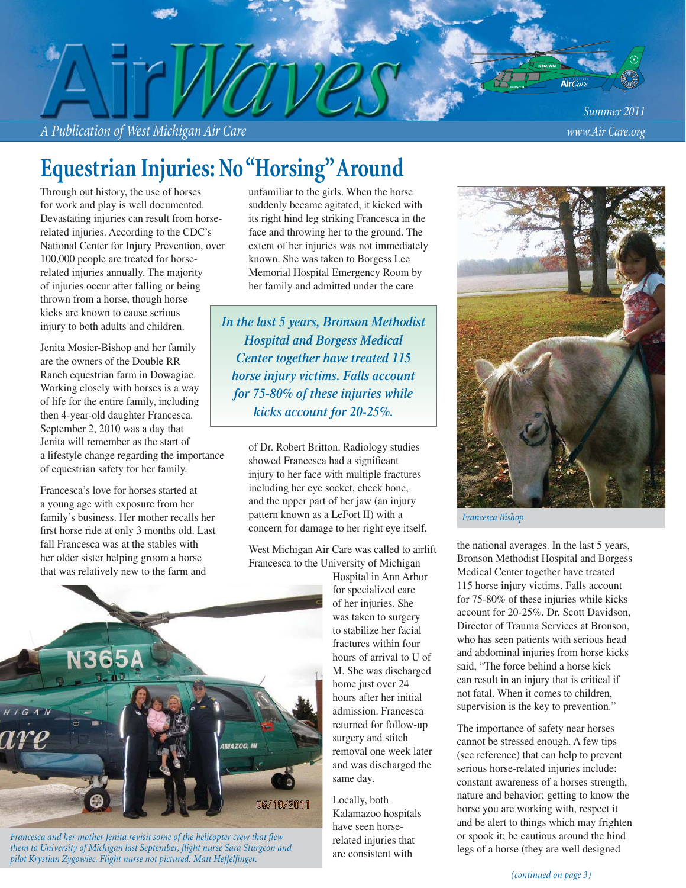*A Publication of West Michigan Air Care www.Air Care.org*

*Summer 2011*

# **Equestrian Injuries: No "Horsing" Around**

Through out history, the use of horses for work and play is well documented. Devastating injuries can result from horserelated injuries. According to the CDC's National Center for Injury Prevention, over 100,000 people are treated for horserelated injuries annually. The majority of injuries occur after falling or being thrown from a horse, though horse kicks are known to cause serious injury to both adults and children.

Jenita Mosier-Bishop and her family are the owners of the Double RR Ranch equestrian farm in Dowagiac. Working closely with horses is a way of life for the entire family, including then 4-year-old daughter Francesca. September 2, 2010 was a day that Jenita will remember as the start of a lifestyle change regarding the importance of equestrian safety for her family.

Francesca's love for horses started at a young age with exposure from her family's business. Her mother recalls her first horse ride at only 3 months old. Last fall Francesca was at the stables with her older sister helping groom a horse that was relatively new to the farm and

unfamiliar to the girls. When the horse suddenly became agitated, it kicked with its right hind leg striking Francesca in the face and throwing her to the ground. The extent of her injuries was not immediately known. She was taken to Borgess Lee Memorial Hospital Emergency Room by her family and admitted under the care

*In the last 5 years, Bronson Methodist Hospital and Borgess Medical Center together have treated 115 horse injury victims. Falls account for 75-80% of these injuries while kicks account for 20-25%.*

> of Dr. Robert Britton. Radiology studies showed Francesca had a significant injury to her face with multiple fractures including her eye socket, cheek bone, and the upper part of her jaw (an injury pattern known as a LeFort II) with a concern for damage to her right eye itself.

West Michigan Air Care was called to airlift Francesca to the University of Michigan

Hospital in Ann Arbor for specialized care of her injuries. She was taken to surgery to stabilize her facial fractures within four hours of arrival to U of M. She was discharged home just over 24 hours after her initial admission. Francesca returned for follow-up surgery and stitch removal one week later and was discharged the same day.

Locally, both Kalamazoo hospitals have seen horserelated injuries that are consistent with



*Francesca Bishop*

the national averages. In the last 5 years, Bronson Methodist Hospital and Borgess Medical Center together have treated 115 horse injury victims. Falls account for 75-80% of these injuries while kicks account for 20-25%. Dr. Scott Davidson, Director of Trauma Services at Bronson, who has seen patients with serious head and abdominal injuries from horse kicks said, "The force behind a horse kick can result in an injury that is critical if not fatal. When it comes to children, supervision is the key to prevention."

The importance of safety near horses cannot be stressed enough. A few tips (see reference) that can help to prevent serious horse-related injuries include: constant awareness of a horses strength, nature and behavior; getting to know the horse you are working with, respect it and be alert to things which may frighten or spook it; be cautious around the hind legs of a horse (they are well designed



*Francesca and her mother Jenita revisit some of the helicopter crew that flew them to University of Michigan last September, fl ight nurse Sara Sturgeon and*  pilot Krystian Zygowiec. Flight nurse not pictured: Matt Heffelfinger.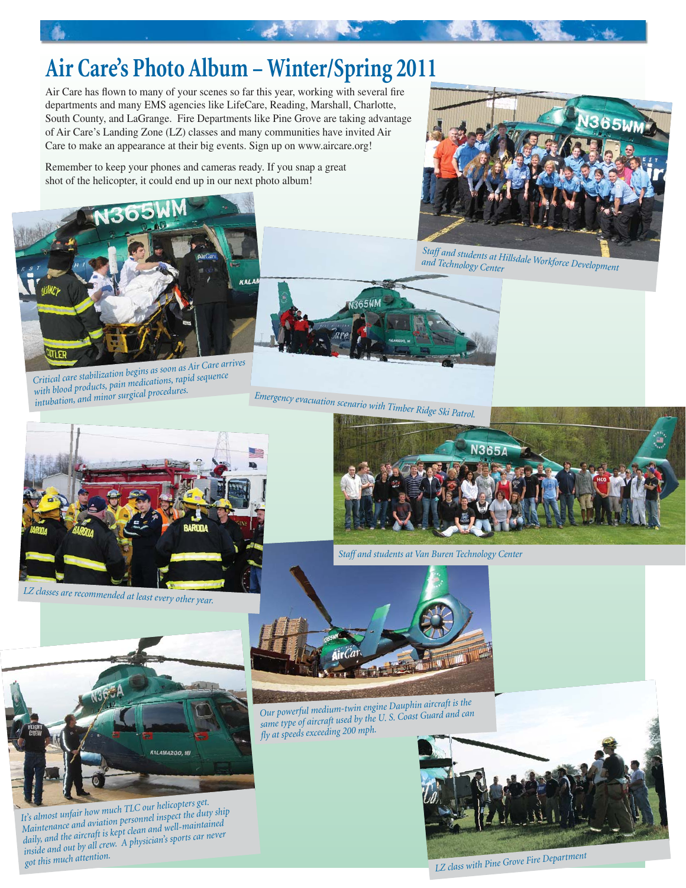# **Air Care's Photo Album – Winter/Spring 2011**

Air Care has flown to many of your scenes so far this year, working with several fire departments and many EMS agencies like LifeCare, Reading, Marshall, Charlotte, South County, and LaGrange. Fire Departments like Pine Grove are taking advantage of Air Care's Landing Zone (LZ) classes and many communities have invited Air Care to make an appearance at their big events. Sign up on www.aircare.org!

Remember to keep your phones and cameras ready. If you snap a great shot of the helicopter, it could end up in our next photo album!



*Critical care stabilization begins as soon as Air Care arrives with blood products, pain medications, rapid sequence intubation, and minor surgical procedures.*



*Staff and students at Hillsdale Workforce Development and Technology Center*



*Emergency evacuation scenario with Timber Ridge Ski Patrol.* 



*LZ classes are recommended at least every other year.*



*Staff and students at Van Buren Technology Center*



*It's almost unfair how much TLC our helicopters get. Maintenance and aviation personnel inspect the duty ship daily, and the aircraft is kept clean and well-maintained inside and out by all crew. A physician's sports car never got this much attention.*



*Our powerful medium-twin engine Dauphin aircraft is the same type of aircraft used by the U. S. Coast Guard and can fly at speeds exceeding 200 mph.* 



*LZ class with Pine Grove Fire Departmen<sup>t</sup>*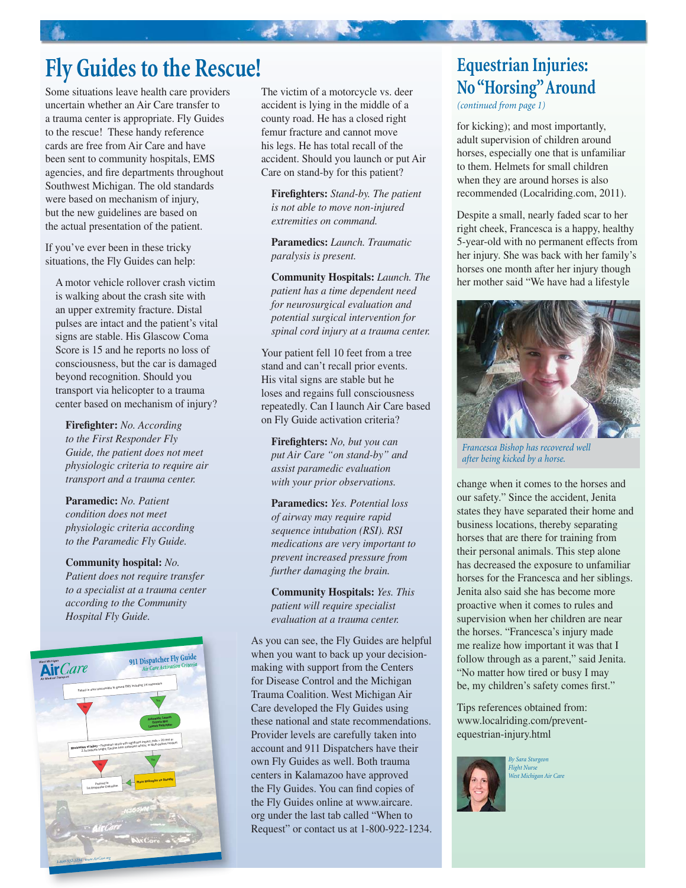## **Fly Guides to the Rescue!**

Some situations leave health care providers uncertain whether an Air Care transfer to a trauma center is appropriate. Fly Guides to the rescue! These handy reference cards are free from Air Care and have been sent to community hospitals, EMS agencies, and fire departments throughout Southwest Michigan. The old standards were based on mechanism of injury, but the new guidelines are based on the actual presentation of the patient.

If you've ever been in these tricky situations, the Fly Guides can help:

A motor vehicle rollover crash victim is walking about the crash site with an upper extremity fracture. Distal pulses are intact and the patient's vital signs are stable. His Glascow Coma Score is 15 and he reports no loss of consciousness, but the car is damaged beyond recognition. Should you transport via helicopter to a trauma center based on mechanism of injury?

**Firefighter:** *No. According to the First Responder Fly Guide, the patient does not meet physiologic criteria to require air transport and a trauma center.*

**Paramedic:** *No. Patient condition does not meet physiologic criteria according to the Paramedic Fly Guide.*

**Community hospital:** *No. Patient does not require transfer to a specialist at a trauma center according to the Community Hospital Fly Guide.*



The victim of a motorcycle vs. deer accident is lying in the middle of a county road. He has a closed right femur fracture and cannot move his legs. He has total recall of the accident. Should you launch or put Air Care on stand-by for this patient?

一、老师 " "

**Firefighters:** *Stand-by. The patient is not able to move non-injured extremities on command.*

**Paramedics:** *Launch. Traumatic paralysis is present.*

**Community Hospitals:** *Launch. The patient has a time dependent need for neurosurgical evaluation and potential surgical intervention for spinal cord injury at a trauma center.*

Your patient fell 10 feet from a tree stand and can't recall prior events. His vital signs are stable but he loses and regains full consciousness repeatedly. Can I launch Air Care based on Fly Guide activation criteria?

**Firefighters:** No, but you can *put Air Care "on stand-by" and assist paramedic evaluation with your prior observations.*

**Paramedics:** *Yes. Potential loss of airway may require rapid sequence intubation (RSI). RSI medications are very important to prevent increased pressure from further damaging the brain.*

**Community Hospitals:** *Yes. This patient will require specialist evaluation at a trauma center.*

As you can see, the Fly Guides are helpful when you want to back up your decisionmaking with support from the Centers for Disease Control and the Michigan Trauma Coalition. West Michigan Air Care developed the Fly Guides using these national and state recommendations. Provider levels are carefully taken into account and 911 Dispatchers have their own Fly Guides as well. Both trauma centers in Kalamazoo have approved the Fly Guides. You can find copies of the Fly Guides online at www.aircare. org under the last tab called "When to Request" or contact us at 1-800-922-1234.

## **Equestrian Injuries: No "Horsing" Around**

*(continued from page 1)*

for kicking); and most importantly, adult supervision of children around horses, especially one that is unfamiliar to them. Helmets for small children when they are around horses is also recommended (Localriding.com, 2011).

Despite a small, nearly faded scar to her right cheek, Francesca is a happy, healthy 5-year-old with no permanent effects from her injury. She was back with her family's horses one month after her injury though her mother said "We have had a lifestyle



*Francesca Bishop has recovered well after being kicked by a horse.*

change when it comes to the horses and our safety." Since the accident, Jenita states they have separated their home and business locations, thereby separating horses that are there for training from their personal animals. This step alone has decreased the exposure to unfamiliar horses for the Francesca and her siblings. Jenita also said she has become more proactive when it comes to rules and supervision when her children are near the horses. "Francesca's injury made me realize how important it was that I follow through as a parent," said Jenita. "No matter how tired or busy I may be, my children's safety comes first."

Tips references obtained from: www.localriding.com/preventequestrian-injury.html



*By Sara Sturgeon Flight Nurse West Michigan Air Care*